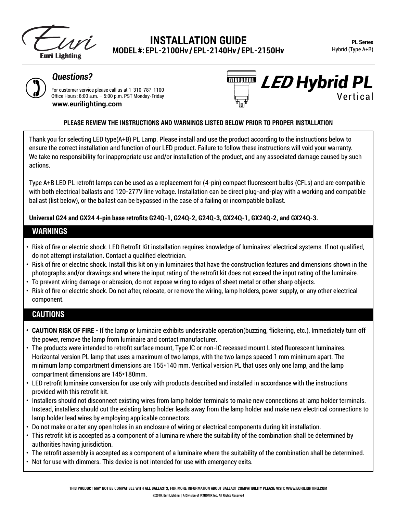

# **INSTALLATION GUIDE MODEL #: EPL-2100Hv / EPL-2140Hv / EPL-2150Hv**



For customer service please call us at 1-310-787-1100 **Questions?**<br>
For customer service please call us at 1-310-787-1100<br>
Office Hours: 8:00 a.m. – 5:00 p.m. PST Monday-Friday<br>
www.ourilighting.com **www.eurilighting.com**



#### **PLEASE REVIEW THE INSTRUCTIONS AND WARNINGS LISTED BELOW PRIOR TO PROPER INSTALLATION**

Thank you for selecting LED type(A+B) PL Lamp. Please install and use the product according to the instructions below to ensure the correct installation and function of our LED product. Failure to follow these instructions will void your warranty. We take no responsibility for inappropriate use and/or installation of the product, and any associated damage caused by such actions.

Type A+B LED PL retrofit lamps can be used as a replacement for (4-pin) compact fluorescent bulbs (CFLs) and are compatible with both electrical ballasts and 120-277V line voltage. Installation can be direct plug-and-play with a working and compatible ballast (list below), or the ballast can be bypassed in the case of a failing or incompatible ballast.

**Universal G24 and GX24 4-pin base retrofits G24Q-1, G24Q-2, G24Q-3, GX24Q-1, GX24Q-2, and GX24Q-3.** 

#### **WARNINGS**

- Risk of fire or electric shock. LED Retrofit Kit installation requires knowledge of luminaires' electrical systems. If not qualified, do not attempt installation. Contact a qualified electrician.
- Risk of fire or electric shock. Install this kit only in luminaires that have the construction features and dimensions shown in the photographs and/or drawings and where the input rating of the retrofit kit does not exceed the input rating of the luminaire.
- To prevent wiring damage or abrasion, do not expose wiring to edges of sheet metal or other sharp objects.
- Risk of fire or electric shock. Do not after, relocate, or remove the wiring, lamp holders, power supply, or any other electrical component.

### **CAUTIONS**

- **• CAUTION RISK OF FIRE** If the lamp or luminaire exhibits undesirable operation(buzzing, flickering, etc.), Immediately turn off the power, remove the lamp from luminaire and contact manufacturer.
- The products were intended to retrofit surface mount, Type IC or non-IC recessed mount Listed fluorescent luminaires. Horizontal version PL lamp that uses a maximum of two lamps, with the two lamps spaced 1 mm minimum apart. The minimum lamp compartment dimensions are 155\*140 mm. Vertical version PL that uses only one lamp, and the lamp compartment dimensions are 145\*180mm.
- LED retrofit luminaire conversion for use only with products described and installed in accordance with the instructions provided with this retrofit kit.
- Installers should not disconnect existing wires from lamp holder terminals to make new connections at lamp holder terminals. Instead, installers should cut the existing lamp holder leads away from the lamp holder and make new electrical connections to lamp holder lead wires by employing applicable connectors.
- Do not make or alter any open holes in an enclosure of wiring or electrical components during kit installation.
- This retrofit kit is accepted as a component of a luminaire where the suitability of the combination shall be determined by authorities having jurisdiction.
- The retrofit assembly is accepted as a component of a luminaire where the suitability of the combination shall be determined.
- Not for use with dimmers. This device is not intended for use with emergency exits.